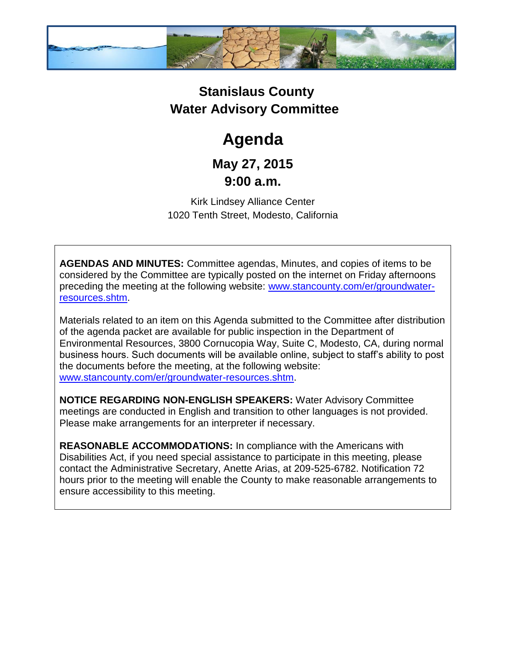

## **Stanislaus County Water Advisory Committee**

# **Agenda**

### **May 27, 2015 9:00 a.m.**

Kirk Lindsey Alliance Center 1020 Tenth Street, Modesto, California

**AGENDAS AND MINUTES:** Committee agendas, Minutes, and copies of items to be considered by the Committee are typically posted on the internet on Friday afternoons preceding the meeting at the following website: [www.stancounty.com/er/groundwater](http://www.stancounty.com/er/groundwater-resources.shtm)[resources.shtm.](http://www.stancounty.com/er/groundwater-resources.shtm)

Materials related to an item on this Agenda submitted to the Committee after distribution of the agenda packet are available for public inspection in the Department of Environmental Resources, 3800 Cornucopia Way, Suite C, Modesto, CA, during normal business hours. Such documents will be available online, subject to staff's ability to post the documents before the meeting, at the following website: [www.stancounty.com/er/groundwater-resources.shtm.](http://www.stancounty.com/er/groundwater-resources.shtm)

**NOTICE REGARDING NON-ENGLISH SPEAKERS:** Water Advisory Committee meetings are conducted in English and transition to other languages is not provided. Please make arrangements for an interpreter if necessary.

**REASONABLE ACCOMMODATIONS:** In compliance with the Americans with Disabilities Act, if you need special assistance to participate in this meeting, please contact the Administrative Secretary, Anette Arias, at 209-525-6782. Notification 72 hours prior to the meeting will enable the County to make reasonable arrangements to ensure accessibility to this meeting.